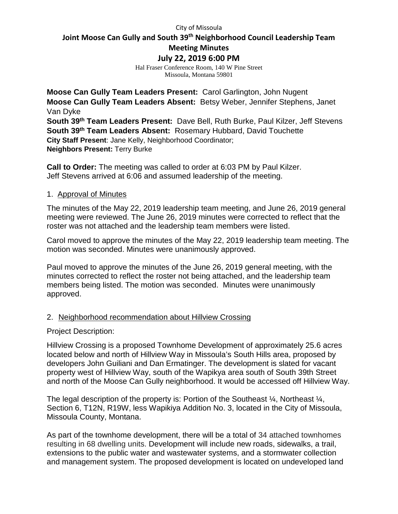#### City of Missoula

# **Joint Moose Can Gully and South 39th Neighborhood Council Leadership Team**

**Meeting Minutes**

**July 22, 2019 6:00 PM**

Hal Fraser Conference Room, 140 W Pine Street Missoula, Montana 59801

**Moose Can Gully Team Leaders Present:** Carol Garlington, John Nugent **Moose Can Gully Team Leaders Absent:** Betsy Weber, Jennifer Stephens, Janet Van Dyke **South 39th Team Leaders Present:** Dave Bell, Ruth Burke, Paul Kilzer, Jeff Stevens **South 39th Team Leaders Absent:** Rosemary Hubbard, David Touchette **City Staff Present**: Jane Kelly, Neighborhood Coordinator; **Neighbors Present:** Terry Burke

**Call to Order:** The meeting was called to order at 6:03 PM by Paul Kilzer. Jeff Stevens arrived at 6:06 and assumed leadership of the meeting.

## 1. Approval of Minutes

The minutes of the May 22, 2019 leadership team meeting, and June 26, 2019 general meeting were reviewed. The June 26, 2019 minutes were corrected to reflect that the roster was not attached and the leadership team members were listed.

Carol moved to approve the minutes of the May 22, 2019 leadership team meeting. The motion was seconded. Minutes were unanimously approved.

Paul moved to approve the minutes of the June 26, 2019 general meeting, with the minutes corrected to reflect the roster not being attached, and the leadership team members being listed. The motion was seconded. Minutes were unanimously approved.

## 2. Neighborhood recommendation about Hillview Crossing

### Project Description:

Hillview Crossing is a proposed Townhome Development of approximately 25.6 acres located below and north of Hillview Way in Missoula's South Hills area, proposed by developers John Guiliani and Dan Ermatinger. The development is slated for vacant property west of Hillview Way, south of the Wapikya area south of South 39th Street and north of the Moose Can Gully neighborhood. It would be accessed off Hillview Way.

The legal description of the property is: Portion of the Southeast  $\frac{1}{4}$ , Northeast  $\frac{1}{4}$ , Section 6, T12N, R19W, less Wapikiya Addition No. 3, located in the City of Missoula, Missoula County, Montana.

As part of the townhome development, there will be a total of 34 attached townhomes resulting in 68 dwelling units. Development will include new roads, sidewalks, a trail, extensions to the public water and wastewater systems, and a stormwater collection and management system. The proposed development is located on undeveloped land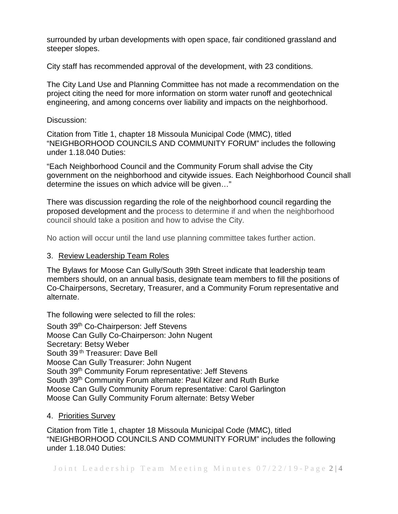surrounded by urban developments with open space, fair conditioned grassland and steeper slopes.

City staff has recommended approval of the development, with 23 conditions.

The City Land Use and Planning Committee has not made a recommendation on the project citing the need for more information on storm water runoff and geotechnical engineering, and among concerns over liability and impacts on the neighborhood.

## Discussion:

Citation from Title 1, chapter 18 Missoula Municipal Code (MMC), titled "NEIGHBORHOOD COUNCILS AND COMMUNITY FORUM" includes the following under 1.18.040 Duties:

"Each Neighborhood Council and the Community Forum shall advise the City government on the neighborhood and citywide issues. Each Neighborhood Council shall determine the issues on which advice will be given…"

There was discussion regarding the role of the neighborhood council regarding the proposed development and the process to determine if and when the neighborhood council should take a position and how to advise the City.

No action will occur until the land use planning committee takes further action.

## 3. Review Leadership Team Roles

The Bylaws for Moose Can Gully/South 39th Street indicate that leadership team members should, on an annual basis, designate team members to fill the positions of Co-Chairpersons, Secretary, Treasurer, and a Community Forum representative and alternate.

The following were selected to fill the roles:

South 39th Co-Chairperson: Jeff Stevens Moose Can Gully Co-Chairperson: John Nugent Secretary: Betsy Weber South 39<sup>th</sup> Treasurer: Dave Bell Moose Can Gully Treasurer: John Nugent South 39<sup>th</sup> Community Forum representative: Jeff Stevens South 39<sup>th</sup> Community Forum alternate: Paul Kilzer and Ruth Burke Moose Can Gully Community Forum representative: Carol Garlington Moose Can Gully Community Forum alternate: Betsy Weber

### 4. Priorities Survey

Citation from Title 1, chapter 18 Missoula Municipal Code (MMC), titled "NEIGHBORHOOD COUNCILS AND COMMUNITY FORUM" includes the following under 1.18.040 Duties: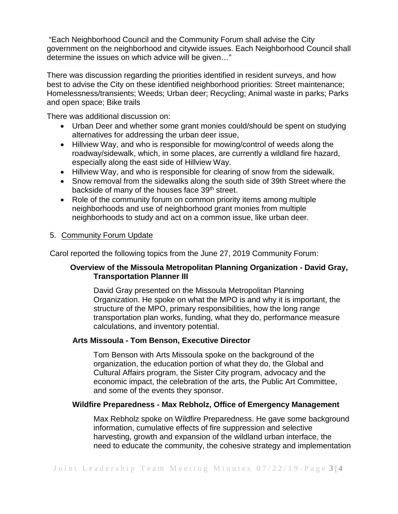"Each Neighborhood Council and the Community Forum shall advise the City government on the neighborhood and citywide issues. Each Neighborhood Council shall determine the issues on which advice will be given…"

There was discussion regarding the priorities identified in resident surveys, and how best to advise the City on these identified neighborhood priorities: Street maintenance; Homelessness/transients; Weeds; Urban deer; Recycling; Animal waste in parks; Parks and open space; Bike trails

There was additional discussion on:

- Urban Deer and whether some grant monies could/should be spent on studying alternatives for addressing the urban deer issue,
- Hillview Way, and who is responsible for mowing/control of weeds along the roadway/sidewalk, which, in some places, are currently a wildland fire hazard, especially along the east side of Hillview Way.
- Hillview Way, and who is responsible for clearing of snow from the sidewalk.
- Snow removal from the sidewalks along the south side of 39th Street where the backside of many of the houses face 39<sup>th</sup> street.
- Role of the community forum on common priority items among multiple neighborhoods and use of neighborhood grant monies from multiple neighborhoods to study and act on a common issue, like urban deer.

# 5. Community Forum Update

Carol reported the following topics from the June 27, 2019 Community Forum:

# **Overview of the Missoula Metropolitan Planning Organization - David Gray, Transportation Planner III**

David Gray presented on the Missoula Metropolitan Planning Organization. He spoke on what the MPO is and why it is important, the structure of the MPO, primary responsibilities, how the long range transportation plan works, funding, what they do, performance measure calculations, and inventory potential.

## **Arts Missoula - Tom Benson, Executive Director**

Tom Benson with Arts Missoula spoke on the background of the organization, the education portion of what they do, the Global and Cultural Affairs program, the Sister City program, advocacy and the economic impact, the celebration of the arts, the Public Art Committee, and some of the events they sponsor.

## **Wildfire Preparedness - Max Rebholz, Office of Emergency Management**

Max Rebholz spoke on Wildfire Preparedness. He gave some background information, cumulative effects of fire suppression and selective harvesting, growth and expansion of the wildland urban interface, the need to educate the community, the cohesive strategy and implementation